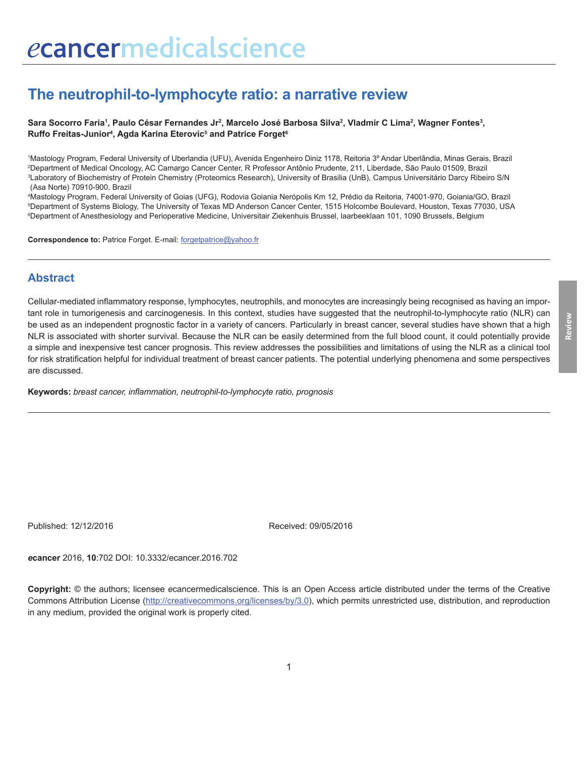# **The neutrophil-to-lymphocyte ratio: a narrative review**

Sara Socorro Faria', Paulo César Fernandes Jr<sup>2</sup>, Marcelo José Barbosa Silva<sup>2</sup>, Vladmir C Lima<sup>2</sup>, Wagner Fontes<sup>3</sup>, **Ruffo Freitas-Junior4 , Agda Karina Eterovic5 and Patrice Forget6**

 Mastology Program, Federal University of Uberlandia (UFU), Avenida Engenheiro Diniz 1178, Reitoria 3º Andar Uberlândia, Minas Gerais, Brazil Department of Medical Oncology, AC Camargo Cancer Center, R Professor Antônio Prudente, 211, Liberdade, São Paulo 01509, Brazil Laboratory of Biochemistry of Protein Chemistry (Proteomics Research), University of Brasilia (UnB), Campus Universitário Darcy Ribeiro S/N (Asa Norte) 70910-900, Brazil

4 Mastology Program, Federal University of Goias (UFG), Rodovia Goiania Nerópolis Km 12, Prédio da Reitoria, 74001-970, Goiania/GO, Brazil 5 Department of Systems Biology, The University of Texas MD Anderson Cancer Center, 1515 Holcombe Boulevard, Houston, Texas 77030, USA 6 Department of Anesthesiology and Perioperative Medicine, Universitair Ziekenhuis Brussel, laarbeeklaan 101, 1090 Brussels, Belgium

**Correspondence to:** Patrice Forget. E-mail: forgetpatrice@yahoo.fr

#### **Abstract**

Cellular-mediated inflammatory response, lymphocytes, neutrophils, and monocytes are increasingly being recognised as having an important role in tumorigenesis and carcinogenesis. In this context, studies have suggested that the neutrophil-to-lymphocyte ratio (NLR) can be used as an independent prognostic factor in a variety of cancers. Particularly in breast cancer, several studies have shown that a high NLR is associated with shorter survival. Because the NLR can be easily determined from the full blood count, it could potentially provide a simple and inexpensive test cancer prognosis. This review addresses the possibilities and limitations of using the NLR as a clinical tool for risk stratification helpful for individual treatment of breast cancer patients. The potential underlying phenomena and some perspectives are discussed.

**Keywords:** *breast cancer, inflammation, neutrophil-to-lymphocyte ratio, prognosis*

Published: 12/12/2016 Received: 09/05/2016

*e***cancer** 2016, **10**:702 DOI: 10.3332/ecancer.2016.702

**Copyright:** © the authors; licensee *e*cancermedicalscience. This is an Open Access article distributed under the terms of the Creative Commons Attribution License (http://creativecommons.org/licenses/by/3.0), which permits unrestricted use, distribution, and reproduction in any medium, provided the original work is properly cited.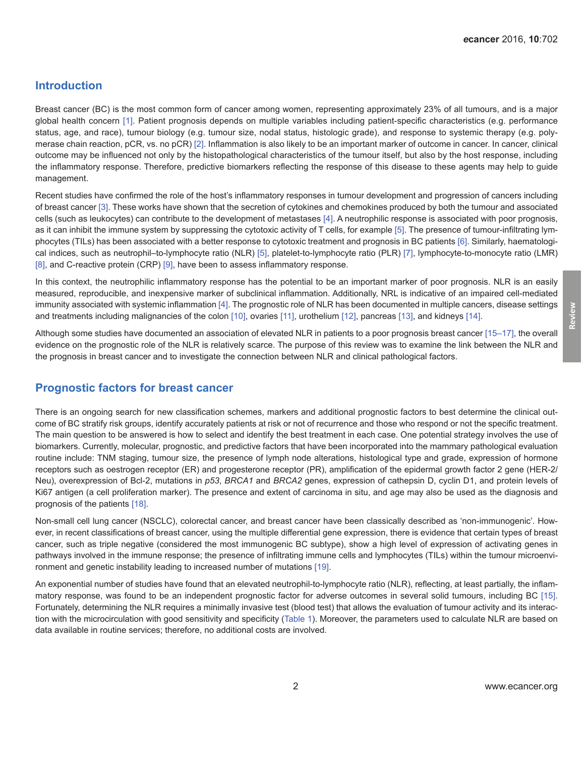### **Introduction**

Breast cancer (BC) is the most common form of cancer among women, representing approximately 23% of all tumours, and is a major global health concern [\[1\].](#page-8-0) Patient prognosis depends on multiple variables including patient-specific characteristics (e.g. performance status, age, and race), tumour biology (e.g. tumour size, nodal status, histologic grade), and response to systemic therapy (e.g. polymerase chain reaction, pCR, vs. no pCR) [\[2\].](#page-8-0) Inflammation is also likely to be an important marker of outcome in cancer. In cancer, clinical outcome may be influenced not only by the histopathological characteristics of the tumour itself, but also by the host response, including the inflammatory response. Therefore, predictive biomarkers reflecting the response of this disease to these agents may help to guide management.

Recent studies have confirmed the role of the host's inflammatory responses in tumour development and progression of cancers including of breast cancer [\[3\].](#page-8-0) These works have shown that the secretion of cytokines and chemokines produced by both the tumour and associated cells (such as leukocytes) can contribute to the development of metastases [\[4\].](#page-8-0) A neutrophilic response is associated with poor prognosis, as it can inhibit the immune system by suppressing the cytotoxic activity of T cells, for example [\[5\]](#page-8-0). The presence of tumour-infiltrating lymphocytes (TILs) has been associated with a better response to cytotoxic treatment and prognosis in BC patients [\[6\]](#page-8-0). Similarly, haematological indices, such as neutrophil–to-lymphocyte ratio (NLR) [\[5\],](#page-8-0) platelet-to-lymphocyte ratio (PLR) [\[7\],](#page-8-0) lymphocyte-to-monocyte ratio (LMR) [\[8\]](#page-8-0), and C-reactive protein (CRP) [\[9\],](#page-8-0) have been to assess inflammatory response.

In this context, the neutrophilic inflammatory response has the potential to be an important marker of poor prognosis. NLR is an easily measured, reproducible, and inexpensive marker of subclinical inflammation. Additionally, NRL is indicative of an impaired cell-mediated immunity associated with systemic inflammation [\[4\]](#page-8-0). The prognostic role of NLR has been documented in multiple cancers, disease settings and treatments including malignancies of the colon [\[10\],](#page-8-0) ovaries [\[11\]](#page-9-0), urothelium [\[12\]](#page-9-0), pancreas [\[13\],](#page-9-0) and kidneys [\[14\]](#page-9-0).

Although some studies have documented an association of elevated NLR in patients to a poor prognosis breast cancer [\[15–17\]](#page-9-0), the overall evidence on the prognostic role of the NLR is relatively scarce. The purpose of this review was to examine the link between the NLR and the prognosis in breast cancer and to investigate the connection between NLR and clinical pathological factors.

## **Prognostic factors for breast cancer**

There is an ongoing search for new classification schemes, markers and additional prognostic factors to best determine the clinical outcome of BC stratify risk groups, identify accurately patients at risk or not of recurrence and those who respond or not the specific treatment. The main question to be answered is how to select and identify the best treatment in each case. One potential strategy involves the use of biomarkers. Currently, molecular, prognostic, and predictive factors that have been incorporated into the mammary pathological evaluation routine include: TNM staging, tumour size, the presence of lymph node alterations, histological type and grade, expression of hormone receptors such as oestrogen receptor (ER) and progesterone receptor (PR), amplification of the epidermal growth factor 2 gene (HER-2/ Neu), overexpression of Bcl-2, mutations in *p53*, *BRCA1* and *BRCA2* genes, expression of cathepsin D, cyclin D1, and protein levels of Ki67 antigen (a cell proliferation marker). The presence and extent of carcinoma in situ, and age may also be used as the diagnosis and prognosis of the patients [\[18\].](#page-9-0)

Non-small cell lung cancer (NSCLC), colorectal cancer, and breast cancer have been classically described as 'non-immunogenic'. However, in recent classifications of breast cancer, using the multiple differential gene expression, there is evidence that certain types of breast cancer, such as triple negative (considered the most immunogenic BC subtype), show a high level of expression of activating genes in pathways involved in the immune response; the presence of infiltrating immune cells and lymphocytes (TILs) within the tumour microenvironment and genetic instability leading to increased number of mutations [\[19\].](#page-9-0)

An exponential number of studies have found that an elevated neutrophil-to-lymphocyte ratio (NLR), reflecting, at least partially, the inflammatory response, was found to be an independent prognostic factor for adverse outcomes in several solid tumours, including BC [\[15\]](#page-9-0). Fortunately, determining the NLR requires a minimally invasive test (blood test) that allows the evaluation of tumour activity and its interaction with the microcirculation with good sensitivity and specificity [\(Table 1](#page-6-0)). Moreover, the parameters used to calculate NLR are based on data available in routine services; therefore, no additional costs are involved.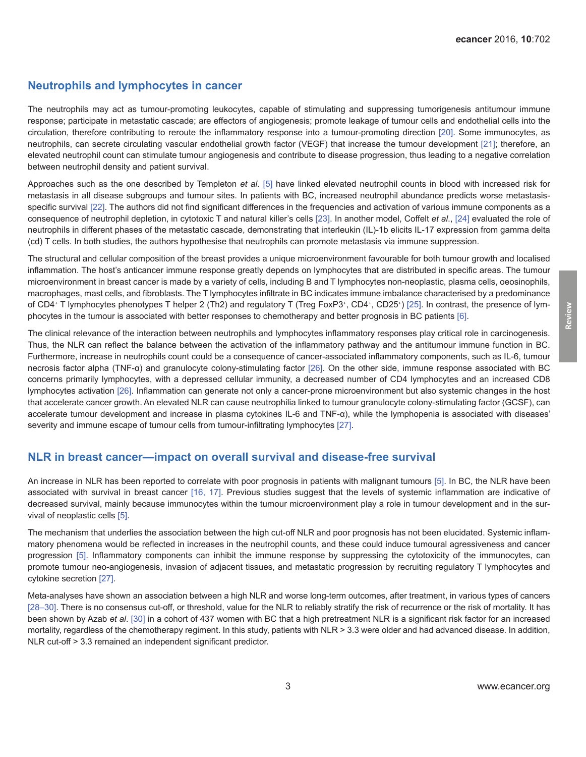#### **Neutrophils and lymphocytes in cancer**

The neutrophils may act as tumour-promoting leukocytes, capable of stimulating and suppressing tumorigenesis antitumour immune response; participate in metastatic cascade; are effectors of angiogenesis; promote leakage of tumour cells and endothelial cells into the circulation, therefore contributing to reroute the inflammatory response into a tumour-promoting direction [\[20\]](#page-9-0). Some immunocytes, as neutrophils, can secrete circulating vascular endothelial growth factor (VEGF) that increase the tumour development [\[21\];](#page-9-0) therefore, an elevated neutrophil count can stimulate tumour angiogenesis and contribute to disease progression, thus leading to a negative correlation between neutrophil density and patient survival.

Approaches such as the one described by Templeton *et al*. [\[5\]](#page-8-0) have linked elevated neutrophil counts in blood with increased risk for metastasis in all disease subgroups and tumour sites. In patients with BC, increased neutrophil abundance predicts worse metastasis-specific survival [\[22\]](#page-9-0). The authors did not find significant differences in the frequencies and activation of various immune components as a consequence of neutrophil depletion, in cytotoxic T and natural killer's cells [\[23\].](#page-9-0) In another model, Coffelt *et al*., [\[24\]](#page-9-0) evaluated the role of neutrophils in different phases of the metastatic cascade, demonstrating that interleukin (IL)-1b elicits IL-17 expression from gamma delta (cd) T cells. In both studies, the authors hypothesise that neutrophils can promote metastasis via immune suppression.

The structural and cellular composition of the breast provides a unique microenvironment favourable for both tumour growth and localised inflammation. The host's anticancer immune response greatly depends on lymphocytes that are distributed in specific areas. The tumour microenvironment in breast cancer is made by a variety of cells, including B and T lymphocytes non-neoplastic, plasma cells, oeosinophils, macrophages, mast cells, and fibroblasts. The T lymphocytes infiltrate in BC indicates immune imbalance characterised by a predominance of CD4<sup>+</sup> T lymphocytes phenotypes T helper 2 (Th2) and regulatory T (Treg FoxP3<sup>+</sup>, CD4<sup>+</sup>, CD25<sup>+</sup>) [\[25\]](#page-9-0). In contrast, the presence of lymphocytes in the tumour is associated with better responses to chemotherapy and better prognosis in BC patients [\[6\].](#page-8-0)

The clinical relevance of the interaction between neutrophils and lymphocytes inflammatory responses play critical role in carcinogenesis. Thus, the NLR can reflect the balance between the activation of the inflammatory pathway and the antitumour immune function in BC. Furthermore, increase in neutrophils count could be a consequence of cancer-associated inflammatory components, such as IL-6, tumour necrosis factor alpha (TNF-α) and granulocyte colony-stimulating factor [\[26\]](#page-9-0). On the other side, immune response associated with BC concerns primarily lymphocytes, with a depressed cellular immunity, a decreased number of CD4 lymphocytes and an increased CD8 lymphocytes activation [\[26\]](#page-9-0). Inflammation can generate not only a cancer-prone microenvironment but also systemic changes in the host that accelerate cancer growth. An elevated NLR can cause neutrophilia linked to tumour granulocyte colony-stimulating factor (GCSF), can accelerate tumour development and increase in plasma cytokines IL-6 and TNF-α), while the lymphopenia is associated with diseases' severity and immune escape of tumour cells from tumour-infiltrating lymphocytes [\[27\]](#page-9-0).

#### **NLR in breast cancer—impact on overall survival and disease-free survival**

An increase in NLR has been reported to correlate with poor prognosis in patients with malignant tumours [\[5\].](#page-8-0) In BC, the NLR have been associated with survival in breast cancer [\[16, 17\].](#page-9-0) Previous studies suggest that the levels of systemic inflammation are indicative of decreased survival, mainly because immunocytes within the tumour microenvironment play a role in tumour development and in the survival of neoplastic cells [\[5\]](#page-8-0).

The mechanism that underlies the association between the high cut-off NLR and poor prognosis has not been elucidated. Systemic inflammatory phenomena would be reflected in increases in the neutrophil counts, and these could induce tumoural agressiveness and cancer progression [\[5\].](#page-8-0) Inflammatory components can inhibit the immune response by suppressing the cytotoxicity of the immunocytes, can promote tumour neo-angiogenesis, invasion of adjacent tissues, and metastatic progression by recruiting regulatory T lymphocytes and cytokine secretion [\[27\].](#page-9-0)

Meta-analyses have shown an association between a high NLR and worse long-term outcomes, after treatment, in various types of cancers [\[28–](#page-9-0)[30\].](#page-10-0) There is no consensus cut-off, or threshold, value for the NLR to reliably stratify the risk of recurrence or the risk of mortality. It has been shown by Azab *et al*. [\[30\]](#page-10-0) in a cohort of 437 women with BC that a high pretreatment NLR is a significant risk factor for an increased mortality, regardless of the chemotherapy regiment. In this study, patients with NLR > 3.3 were older and had advanced disease. In addition, NLR cut-off > 3.3 remained an independent significant predictor.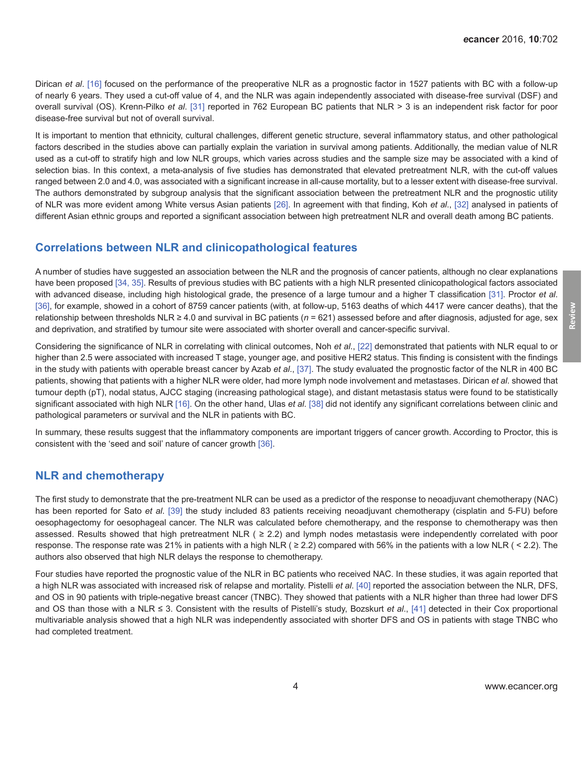Dirican *et al*. [\[16\]](#page-9-0) focused on the performance of the preoperative NLR as a prognostic factor in 1527 patients with BC with a follow-up of nearly 6 years. They used a cut-off value of 4, and the NLR was again independently associated with disease-free survival (DSF) and overall survival (OS). Krenn-Pilko *et al*. [\[31\]](#page-10-0) reported in 762 European BC patients that NLR > 3 is an independent risk factor for poor disease-free survival but not of overall survival.

It is important to mention that ethnicity, cultural challenges, different genetic structure, several inflammatory status, and other pathological factors described in the studies above can partially explain the variation in survival among patients. Additionally, the median value of NLR used as a cut-off to stratify high and low NLR groups, which varies across studies and the sample size may be associated with a kind of selection bias. In this context, a meta-analysis of five studies has demonstrated that elevated pretreatment NLR, with the cut-off values ranged between 2.0 and 4.0, was associated with a significant increase in all-cause mortality, but to a lesser extent with disease-free survival. The authors demonstrated by subgroup analysis that the significant association between the pretreatment NLR and the prognostic utility of NLR was more evident among White versus Asian patients [\[26\]](#page-9-0). In agreement with that finding, Koh *et al*., [\[32\]](#page-10-0) analysed in patients of different Asian ethnic groups and reported a significant association between high pretreatment NLR and overall death among BC patients.

#### **Correlations between NLR and clinicopathological features**

A number of studies have suggested an association between the NLR and the prognosis of cancer patients, although no clear explanations have been proposed [\[34,](#page-10-0) [35\]](#page-10-0). Results of previous studies with BC patients with a high NLR presented clinicopathological factors associated with advanced disease, including high histological grade, the presence of a large tumour and a higher T classification [\[31\].](#page-10-0) Proctor *et al*. [\[36\],](#page-10-0) for example, showed in a cohort of 8759 cancer patients (with, at follow-up, 5163 deaths of which 4417 were cancer deaths), that the relationship between thresholds NLR ≥ 4.0 and survival in BC patients (*n* = 621) assessed before and after diagnosis, adjusted for age, sex and deprivation, and stratified by tumour site were associated with shorter overall and cancer-specific survival.

Considering the significance of NLR in correlating with clinical outcomes, Noh *et al*., [\[22\]](#page-9-0) demonstrated that patients with NLR equal to or higher than 2.5 were associated with increased T stage, younger age, and positive HER2 status. This finding is consistent with the findings in the study with patients with operable breast cancer by Azab *et al*., [\[37\]](#page-10-0). The study evaluated the prognostic factor of the NLR in 400 BC patients, showing that patients with a higher NLR were older, had more lymph node involvement and metastases. Dirican *et al*. showed that tumour depth (pT), nodal status, AJCC staging (increasing pathological stage), and distant metastasis status were found to be statistically significant associated with high NLR [\[16\]](#page-9-0). On the other hand, Ulas *et al*. [\[38\]](#page-10-0) did not identify any significant correlations between clinic and pathological parameters or survival and the NLR in patients with BC.

In summary, these results suggest that the inflammatory components are important triggers of cancer growth. According to Proctor, this is consistent with the 'seed and soil' nature of cancer growth [\[36\].](#page-10-0)

#### **NLR and chemotherapy**

The first study to demonstrate that the pre-treatment NLR can be used as a predictor of the response to neoadjuvant chemotherapy (NAC) has been reported for Sato *et al*. [\[39\]](#page-10-0) the study included 83 patients receiving neoadjuvant chemotherapy (cisplatin and 5-FU) before oesophagectomy for oesophageal cancer. The NLR was calculated before chemotherapy, and the response to chemotherapy was then assessed. Results showed that high pretreatment NLR ( $\geq$  2.2) and lymph nodes metastasis were independently correlated with poor response. The response rate was 21% in patients with a high NLR ( $\geq$  2.2) compared with 56% in the patients with a low NLR ( $\lt$  2.2). The authors also observed that high NLR delays the response to chemotherapy.

Four studies have reported the prognostic value of the NLR in BC patients who received NAC. In these studies, it was again reported that a high NLR was associated with increased risk of relapse and mortality. Pistelli *et al*. [\[40\]](#page-10-0) reported the association between the NLR, DFS, and OS in 90 patients with triple-negative breast cancer (TNBC). They showed that patients with a NLR higher than three had lower DFS and OS than those with a NLR ≤ 3. Consistent with the results of Pistelli's study, Bozskurt *et al*., [\[41\]](#page-10-0) detected in their Cox proportional multivariable analysis showed that a high NLR was independently associated with shorter DFS and OS in patients with stage TNBC who had completed treatment.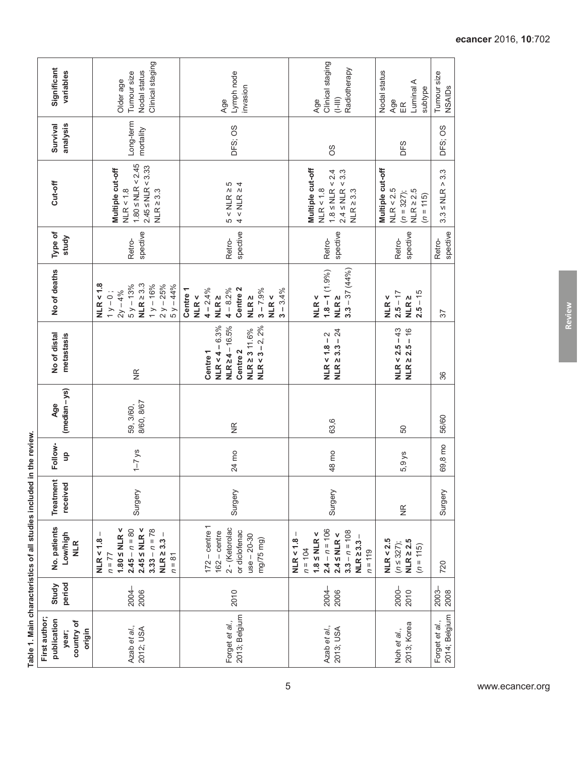| Significant<br>variables                                     | Clinical staging<br>Nodal status<br>Tumour size<br>Older age                                                                                     | Lymph node<br>invasion<br>Age                                                                                        | Clinical staging<br>Radiotherapy<br>$\begin{matrix} = \\ = \\ = \\ \end{matrix}$<br>Age                                              | Nodal status<br>Luminal A<br>subtype<br>Age<br>ER                              | Tumour size<br><b>NSAIDs</b>    |  |
|--------------------------------------------------------------|--------------------------------------------------------------------------------------------------------------------------------------------------|----------------------------------------------------------------------------------------------------------------------|--------------------------------------------------------------------------------------------------------------------------------------|--------------------------------------------------------------------------------|---------------------------------|--|
| Survival<br>analysis                                         | Long-term<br>mortality                                                                                                                           | DFS; OS                                                                                                              | 8O                                                                                                                                   | DFS                                                                            | DFS; OS                         |  |
| Cut-off                                                      | $1.80 \leq NLR < 2.45$<br>$2.45 \leq NLR < 3.33$<br>Multiple cut-off<br>NLR < 1.8<br>$NLR \geq 3.3$                                              | $4 < NLR \ge 4$<br>$5 < NLR \geq 5$                                                                                  | Multiple cut-off<br>$2.4 \leq NLR < 3.3$<br>$1.8 \leq NLR < 2.4$<br>NLR < 1.8<br>$NLR \geq 3.3$                                      | Multiple cut-off<br>NLR < 2.5<br>$NLR \geq 2.5$<br>$(n = 327);$<br>$(n = 115)$ | $3.3 \leq NLR > 3.3$            |  |
| Type of<br>study                                             | spective<br>Retro-                                                                                                                               | spective<br>Retro-                                                                                                   | spective<br>Retro-                                                                                                                   | spective<br>Retro-                                                             | spective<br>Retro-              |  |
| No of deaths                                                 | NLR < 1.8<br>$NLR \geq 3.3$<br>$1 y - 16\%$<br>$2y - 25%$<br>$5y - 13%$<br>$5y - 44%$<br>$1y-0$ ;<br>$2y - 4%$                                   | Centre 1<br>$4 - 2.4%$<br>$4 - 8.2\%$<br>Centre 2<br>$3 - 7.9%$<br>$3 - 3.4%$<br>NLR <<br>NLR <<br>NLR 2<br>NLR 2    | $3.3 - 37(44\%)$<br>$1.8 - 1(1.9\%)$<br>NLR <<br>NLR 2                                                                               | $2.5 - 15$<br>$2.5 - 17$<br>NLR <<br>$NLR \geq$                                | 57                              |  |
| No of distal<br>metastasis                                   | $\widetilde{\Xi}$                                                                                                                                | $NLR < 4 - 6.3%$<br>$NLR \ge 4 - 16.5%$<br>NLR < $3 - 2$ , $2\%$<br>NLR 2 3 11.6%<br>Centre <sub>2</sub><br>Centre 1 | $NLR < 1.8 - 2$<br>$NLR \ge 3.3 - 24$                                                                                                | $NLR < 2.5 - 43$<br>$NLR \ge 2.5 - 16$                                         | 86                              |  |
| (median - ys)<br>Age                                         | 8/60, 8/67<br>59, 3/60,                                                                                                                          | $\frac{\alpha}{\alpha}$                                                                                              | 63,6                                                                                                                                 | 50                                                                             | 56/60                           |  |
| Follow-<br>9                                                 | $1 - 7$ ys                                                                                                                                       | 24 mo                                                                                                                | 48 mo                                                                                                                                | 5,9 ys                                                                         | 69,8 mo                         |  |
| Treatment<br>received                                        | Surgery                                                                                                                                          | Surgery                                                                                                              | Surgery                                                                                                                              | $\widetilde{\Xi}$                                                              | Surgery                         |  |
| No. patients<br>Low/high<br><b>NLR</b>                       | $2.45 \leq \text{NLR} <$<br>$1.80 \leq \text{NLR} <$<br>$2.45 - n = 80$<br>$3.33 - n = 78$<br>$NLR \ge 3.3 -$<br>NLR < 1.8<br>$n = 77$<br>$n=81$ | $172 - centre 1$<br>2 - (Ketorolac<br>or diclofenac<br>$162 - centre$<br>$use - 20-30$<br>mg/75 mg)                  | $2.4 - n = 106$<br>$3.3 - n = 108$<br>$1.8 \leq NLR <$<br>$2.4 \leq NLR <$<br>$NLR \ge 3.3 -$<br>NLR < 1.8<br>$n = 104$<br>$n = 119$ | NLR < 2.5<br>$NLR \geq 2.5$<br>$(n \leq 327);$<br>$(n = 115)$                  | 720                             |  |
| period<br>Study                                              | 2004-<br>2006                                                                                                                                    | 2010                                                                                                                 | 2004-<br>2006                                                                                                                        | 2000-<br>2010                                                                  | 2003-<br>2008                   |  |
| First author<br>publication<br>country of<br>origin<br>year; | Azab et al.,<br>2012; USA                                                                                                                        | 2013; Belgium<br>Forget et al.,                                                                                      | Azab et al.,<br>2013; USA                                                                                                            | 2013; Korea<br>Noh et al.,                                                     | 2014; Belgium<br>Forget et al., |  |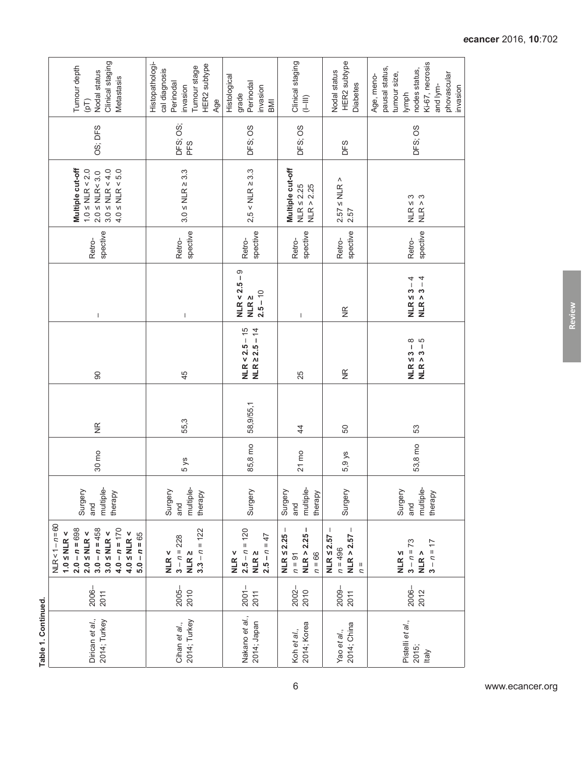| Clinical staging<br>Tumour depth<br>Nodal status<br>Metastasis<br>$\left( pT\right)$                                                                                                               | Histopathologi-<br>HER2 subtype<br>Tumour stage<br>cal diagnosis<br>Perinodal<br>invasion<br>Age | Histological<br>Perinodal<br>invasion<br>grade<br>BMI          | Clinical staging<br>$(1-111)$                               | HER2 subtype<br>Nodal status<br><b>Diabetes</b>                              | Ki-67, necrosis<br>pausal status,<br>nodes status,<br>tumour size,<br>phovascular<br>Age, meno-<br>and lym-<br>invasion<br>lymph |  |
|----------------------------------------------------------------------------------------------------------------------------------------------------------------------------------------------------|--------------------------------------------------------------------------------------------------|----------------------------------------------------------------|-------------------------------------------------------------|------------------------------------------------------------------------------|----------------------------------------------------------------------------------------------------------------------------------|--|
| OS; DFS                                                                                                                                                                                            | DFS; OS;<br>PFS                                                                                  | DFS; OS                                                        | DFS; OS                                                     | DFS                                                                          | DFS; OS                                                                                                                          |  |
| Multiple cut-off<br>$4.0 \leq NLR < 5.0$<br>$1.0 \leq NLR < 2.0$<br>$3.0 \leq \text{NLR} < 4.0$<br>$2.0 \leq \text{NLR} < 3.0$                                                                     | $3.0 \leq \text{NLR} \geq 3.3$                                                                   | $2,5 <$ NLR $\ge$ 3.3                                          | Multiple cut-off<br>$NLR \leq 2.25$<br>NLR > 2.25           | $2.57 \leq \text{NLR}$<br>2.57                                               | $NLR \leq 3$<br>က<br>$NLR$ > :                                                                                                   |  |
| spective<br>Retro-                                                                                                                                                                                 | spective<br>Retro-                                                                               | spective<br>Retro-                                             | spective<br>Retro-                                          | spective<br>Retro-                                                           | spective<br>Retro-                                                                                                               |  |
| $\mathsf I$                                                                                                                                                                                        | $\mathsf I$                                                                                      | $NLR < 2.5 - 9$<br>$2.5 - 10$<br>NLR 2                         | J.                                                          | $\frac{\alpha}{\beta}$                                                       | NLR $\leq$ 3 – 4<br>$NLR > 3 - 4$                                                                                                |  |
| 90                                                                                                                                                                                                 | 45                                                                                               | $NLR < 2.5 - 15$<br>$NLR \ge 2.5 - 14$                         | 25                                                          | $\frac{\alpha}{\beta}$                                                       | 5<br>$NLR \leq 3-8$<br>$NLR > 3 -$                                                                                               |  |
| $\frac{\alpha}{\beta}$                                                                                                                                                                             | 55,3                                                                                             | 58,9/55,1                                                      | $\frac{4}{3}$                                               | 50                                                                           | 53                                                                                                                               |  |
| 30 mo                                                                                                                                                                                              | $5y$ s                                                                                           | 85,8 mo                                                        | $21 \text{ mo}$                                             | 5,9 ys                                                                       | 53,8 mo                                                                                                                          |  |
| multiple-<br>Surgery<br>therapy<br>and                                                                                                                                                             | multiple-<br>Surgery<br>therapy<br>and                                                           | Surgery                                                        | multiple-<br>Surgery<br>therapy<br>and                      | Surgery                                                                      | multiple-<br>Surgery<br>therapy<br>and                                                                                           |  |
| $NLR < 1 - n = 60$<br>$4.0 - n = 170$<br>$3.0 - n = 458$<br>$2.0 - n = 698$<br>$3.0 \leq \text{NLR} <$<br>1.0 $\leq$ NLR <<br>$4.0 \leq \text{NLR} <$<br>$2.0 \leq \text{NLR} <$<br>$5.0 - n = 65$ | $3.3 - n = 122$<br>$3 - n = 228$<br>NLR <sub>2</sub><br>NLR <                                    | $2.5 - n = 120$<br>$2.5 - n = 47$<br>NLR <sub>2</sub><br>NLR < | I.<br>$NLR \leq 2.25 -$<br>NLR > 2.25<br>$n = 66$<br>$n=91$ | $NLR > 2.57 -$<br>$NLR \leq 2.57 -$<br>$n = 496$<br>$\overline{\phantom{a}}$ | $3 - n = 73$<br>$3 - n = 17$<br>NLR ><br><b>NLR 5</b>                                                                            |  |
| 2006-<br>2011                                                                                                                                                                                      | $2005 -$<br>2010                                                                                 | $2001 -$<br>2011                                               | 2002-<br>2010                                               | 2009-<br>2011                                                                | 2006-<br>2012                                                                                                                    |  |
| Dirican et al.,<br>2014; Turkey                                                                                                                                                                    | 2014; Turkey<br>Cihan et al.,                                                                    | Nakano et al.,<br>2014; Japan                                  | 2014; Korea<br>Koh et al.,                                  | 2014; China<br>Yao et al.,                                                   | Pistelli et al.,<br>2015;<br><b>Italy</b>                                                                                        |  |

**Review**

6 www.ecancer.org

Table 1. Continued. **Table 1. Continued.**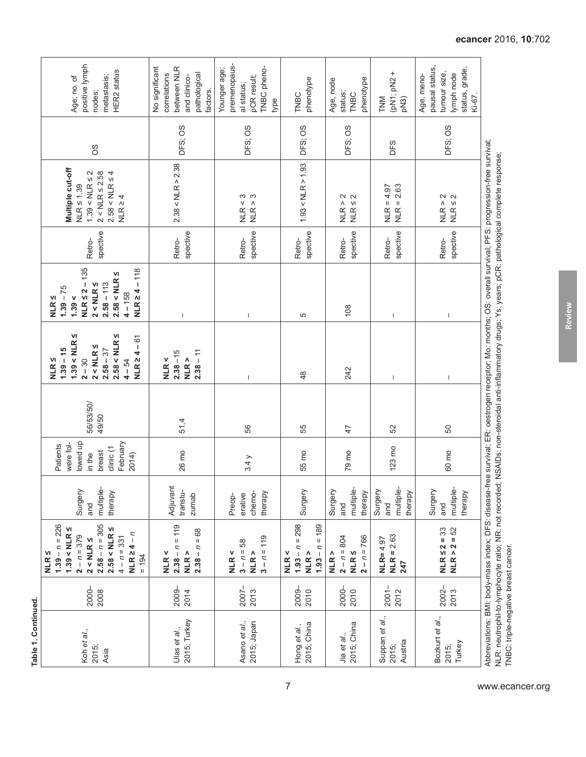<span id="page-6-0"></span>

| positive lymph<br>HER2 status<br>metastasis;<br>Age; no. of<br>nodes;                                                                                                                  | between NLR<br>No significant<br>correlations<br>pathological<br>and clinico-<br>factors. | premenopaus-<br>TNBC pheno-<br>Younger age;<br>pCR result;<br>al status;<br>type | phenotype<br>TNBC                                      | phenotype<br>Age, node<br>status;<br><b>TNBC</b>    | (pN1; pN2 +<br>TNM<br>pN3)             | pausal status,<br>status, grade,<br>tumour size,<br>lymph node<br>Age, meno-<br>$Ki-67$ . |
|----------------------------------------------------------------------------------------------------------------------------------------------------------------------------------------|-------------------------------------------------------------------------------------------|----------------------------------------------------------------------------------|--------------------------------------------------------|-----------------------------------------------------|----------------------------------------|-------------------------------------------------------------------------------------------|
| 8O                                                                                                                                                                                     | DFS; OS                                                                                   | DFS; OS                                                                          | DFS; OS                                                | DFS; OS                                             | DFS                                    | DFS; OS                                                                                   |
| Multiple cut-off<br>$1.39 < NLR \leq 2$<br>$2 < NLR \le 2.58$<br>$2.58 < \text{NLR} \leq 4$<br>$NLR \leq 1.39$<br>$NLR \geq 4$                                                         | 2.38 < NLR > 2.38                                                                         | NLR > 3<br>NLR < 3                                                               | 1.93 < NLR > 1.93                                      | NLR > 2<br>NLR < 2                                  | $NLR = 2.63$<br>$NLR = 4.97$           | NLR > 2<br>NLR < 2                                                                        |
| spective<br>Retro-                                                                                                                                                                     | spective<br>Retro-                                                                        | spective<br>Retro-                                                               | spective<br>Retro-                                     | spective<br>Retro-                                  | spective<br>Retro-                     | spective<br>Retro-                                                                        |
| $NLR \leq 2 - 135$<br>$NLR \ge 4 - 118$<br>$2.58 < NLR \leq$<br>$2.58 - 113$<br>$2$ < NLR $\leq$<br>$1.39 - 75$<br>$4 - 158$<br>1.39 <<br>NLR $\leq$                                   | $\overline{\phantom{a}}$                                                                  | $\begin{array}{c} \end{array}$                                                   | 5                                                      | 108                                                 | T                                      | $\overline{\phantom{a}}$                                                                  |
| $1.39 < NLR \leq$<br>$2.58 < NLR \leq$<br>$NLR \ge 4 - 61$<br>$2 < NLR \leq$<br>$1.39 - 15$<br>$2.58 - 37$<br>$2 - 30$<br>$NLR \leq$<br>$4 - 54$                                       | $2.38 - 15$<br>$2.38 - 11$<br>NLR<br>NLR <                                                | $\overline{\phantom{a}}$                                                         | $\frac{8}{3}$                                          | 242                                                 | T                                      | $\overline{\phantom{a}}$                                                                  |
| 56/53/50/<br>49/50                                                                                                                                                                     | 51,4                                                                                      | 56                                                                               | 55                                                     | $\ddot{4}$                                          | 52                                     | 50                                                                                        |
| lowed up<br>February<br>were fol-<br>Patients<br>clinic (1<br>breast<br>in the<br>2014)                                                                                                | 26 mo                                                                                     | 3.4 y                                                                            | 55 mo                                                  | 79 mo                                               | 123 mo                                 | 60 mo                                                                                     |
| multiple-<br>Surgery<br>therapy<br>and                                                                                                                                                 | Adjuvant<br>transtu-<br>zumab                                                             | Preop-<br>erative<br>chemo-<br>therapy                                           | Surgery                                                | multiple-<br>Surgery<br>therapy<br>and              | multiple-<br>Surgery<br>therapy<br>and | multiple-<br>Surgery<br>therapy<br>and                                                    |
| $2.58 - n = 305$<br>$1.39 - n = 226$<br>$1.39 < \text{NLR} \leq$<br>$2.58 < NLR \leq$<br>$NLR \geq 4 - n$<br>$2 - n = 379$<br>$4 - n = 331$<br>$2 < NLR \leq$<br>NLR $\leq$<br>$= 194$ | $2.38 - n = 119$<br>$2.38 - n = 68$<br>NLR ><br>NLR <                                     | $3 - n = 119$<br>$3 - n = 58$<br>NLR ><br>NLR <                                  | $1.93 - n = 298$<br>$1.93 - n = 189$<br>NLR ><br>NLR < | $2 - n = 804$<br>$2 - n = 766$<br>$NLR \leq$<br>NLR | $NLR = 2.63$<br>$NLR = 4.97$<br>247    | $NLR \le 2 = 33$<br>$NLR > 2 = 52$                                                        |
| 2000-<br>2008                                                                                                                                                                          | 2009-<br>2014                                                                             | 2007-<br>2013                                                                    | 2009-<br>2010                                          | 2000-<br>2010                                       | $2001 -$<br>2012                       | $2002 -$<br>2013                                                                          |
| Koh et al.,<br>2015;<br>Asia                                                                                                                                                           | 2015; Turkey<br>Ulas et al.,                                                              | 2015; Japan<br>Asano et al.,                                                     | 2015; China<br>Hong et al.,                            | 2015; China<br>Jia et al.,                          | Suppan et al.,<br>Austria<br>2015;     | Bozkurt et al.,<br>Turkey<br>2015;                                                        |

Abbreviations: BMI: body-mass index; DFS: disease-free survival; ER: oestrogen receptor; Mo: months; OS: overall survival; PFS: progression-free survival;<br>NLR: neutrophil-to-lymphocyte ratio; NR: not recorded; NSAIDs: non-Abbreviations: BMI: body-mass index; DFS: disease-free survival; ER: oestrogen receptor; Mo: months; OS: overall survival; PFS: progression-free survival; NLR: neutrophil-to-lymphocyte ratio; NR: not recorded; NSAIDs: non-steroidal anti-inflammatory drugs; Ys: years; pCR: pathological complete response; TNBC: triple-negative breast cancer.

**Review**

*e***cancer** 2016, **10**:702

**Table 1. Continued.**

Table 1. Continued.

7 www.ecancer.org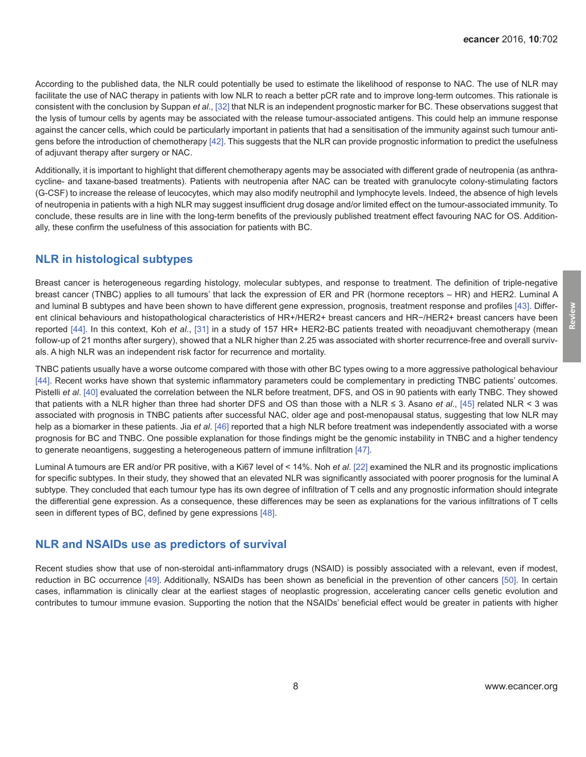According to the published data, the NLR could potentially be used to estimate the likelihood of response to NAC. The use of NLR may facilitate the use of NAC therapy in patients with low NLR to reach a better pCR rate and to improve long-term outcomes. This rationale is consistent with the conclusion by Suppan *et al*., [\[32\]](#page-10-0) that NLR is an independent prognostic marker for BC. These observations suggest that the lysis of tumour cells by agents may be associated with the release tumour-associated antigens. This could help an immune response against the cancer cells, which could be particularly important in patients that had a sensitisation of the immunity against such tumour antigens before the introduction of chemotherapy [\[42\].](#page-10-0) This suggests that the NLR can provide prognostic information to predict the usefulness of adjuvant therapy after surgery or NAC.

Additionally, it is important to highlight that different chemotherapy agents may be associated with different grade of neutropenia (as anthracycline- and taxane-based treatments). Patients with neutropenia after NAC can be treated with granulocyte colony-stimulating factors (G-CSF) to increase the release of leucocytes, which may also modify neutrophil and lymphocyte levels. Indeed, the absence of high levels of neutropenia in patients with a high NLR may suggest insufficient drug dosage and/or limited effect on the tumour-associated immunity. To conclude, these results are in line with the long-term benefits of the previously published treatment effect favouring NAC for OS. Additionally, these confirm the usefulness of this association for patients with BC.

## **NLR in histological subtypes**

Breast cancer is heterogeneous regarding histology, molecular subtypes, and response to treatment. The definition of triple-negative breast cancer (TNBC) applies to all tumours' that lack the expression of ER and PR (hormone receptors – HR) and HER2. Luminal A and luminal B subtypes and have been shown to have different gene expression, prognosis, treatment response and profiles [\[43\]](#page-10-0). Different clinical behaviours and histopathological characteristics of HR+/HER2+ breast cancers and HR−/HER2+ breast cancers have been reported [\[44\]](#page-10-0). In this context, Koh *et al*., [\[31\]](#page-10-0) in a study of 157 HR+ HER2-BC patients treated with neoadjuvant chemotherapy (mean follow-up of 21 months after surgery), showed that a NLR higher than 2.25 was associated with shorter recurrence-free and overall survivals. A high NLR was an independent risk factor for recurrence and mortality.

TNBC patients usually have a worse outcome compared with those with other BC types owing to a more aggressive pathological behaviour [\[44\]](#page-10-0). Recent works have shown that systemic inflammatory parameters could be complementary in predicting TNBC patients' outcomes. Pistelli *et al*. [\[40\]](#page-10-0) evaluated the correlation between the NLR before treatment, DFS, and OS in 90 patients with early TNBC. They showed that patients with a NLR higher than three had shorter DFS and OS than those with a NLR ≤ 3. Asano *et al*., [\[45\]](#page-11-0) related NLR < 3 was associated with prognosis in TNBC patients after successful NAC, older age and post-menopausal status, suggesting that low NLR may help as a biomarker in these patients. Jia *et al*. [\[46\]](#page-11-0) reported that a high NLR before treatment was independently associated with a worse prognosis for BC and TNBC. One possible explanation for those findings might be the genomic instability in TNBC and a higher tendency to generate neoantigens, suggesting a heterogeneous pattern of immune infiltration [\[47\]](#page-11-0).

Luminal A tumours are ER and/or PR positive, with a Ki67 level of < 14%. Noh *et al*. [\[22\]](#page-9-0) examined the NLR and its prognostic implications for specific subtypes. In their study, they showed that an elevated NLR was significantly associated with poorer prognosis for the luminal A subtype. They concluded that each tumour type has its own degree of infiltration of T cells and any prognostic information should integrate the differential gene expression. As a consequence, these differences may be seen as explanations for the various infiltrations of T cells seen in different types of BC, defined by gene expressions [\[48\].](#page-11-0)

## **NLR and NSAIDs use as predictors of survival**

Recent studies show that use of non-steroidal anti-inflammatory drugs (NSAID) is possibly associated with a relevant, even if modest, reduction in BC occurrence [\[49\]](#page-11-0). Additionally, NSAIDs has been shown as beneficial in the prevention of other cancers [\[50\]](#page-11-0). In certain cases, inflammation is clinically clear at the earliest stages of neoplastic progression, accelerating cancer cells genetic evolution and contributes to tumour immune evasion. Supporting the notion that the NSAIDs' beneficial effect would be greater in patients with higher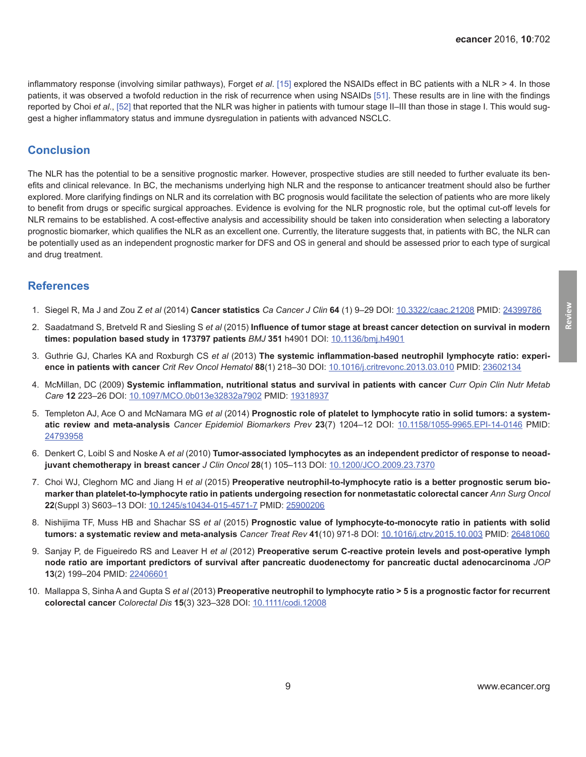<span id="page-8-0"></span>inflammatory response (involving similar pathways), Forget *et al*. [\[15\]](#page-9-0) explored the NSAIDs effect in BC patients with a NLR > 4. In those patients, it was observed a twofold reduction in the risk of recurrence when using NSAIDs [\[51\].](#page-11-0) These results are in line with the findings reported by Choi *et al.*, [\[52\]](#page-11-0) that reported that the NLR was higher in patients with tumour stage II–III than those in stage I. This would suggest a higher inflammatory status and immune dysregulation in patients with advanced NSCLC.

## **Conclusion**

The NLR has the potential to be a sensitive prognostic marker. However, prospective studies are still needed to further evaluate its benefits and clinical relevance. In BC, the mechanisms underlying high NLR and the response to anticancer treatment should also be further explored. More clarifying findings on NLR and its correlation with BC prognosis would facilitate the selection of patients who are more likely to benefit from drugs or specific surgical approaches. Evidence is evolving for the NLR prognostic role, but the optimal cut-off levels for NLR remains to be established. A cost-effective analysis and accessibility should be taken into consideration when selecting a laboratory prognostic biomarker, which qualifies the NLR as an excellent one. Currently, the literature suggests that, in patients with BC, the NLR can be potentially used as an independent prognostic marker for DFS and OS in general and should be assessed prior to each type of surgical and drug treatment.

#### **References**

- 1. Siegel R, Ma J and Zou Z *et al* (2014) **Cancer statistics** *Ca Cancer J Clin* **64** (1) 9–29 DOI: [10.3322/caac.21208](http://dx.doi.org/10.3322/caac.21208) PMID: [24399786](http://www.ncbi.nlm.nih.gov/pubmed/24399786)
- 2. Saadatmand S, Bretveld R and Siesling S *et al* (2015) **Influence of tumor stage at breast cancer detection on survival in modern times: population based study in 173797 patients** *BMJ* **351** h4901 DOI: [10.1136/bmj.h4901](http://dx.doi.org/10.1136/bmj.h4901)
- 3. Guthrie GJ, Charles KA and Roxburgh CS *et al* (2013) **The systemic inflammation-based neutrophil lymphocyte ratio: experience in patients with cancer** *Crit Rev Oncol Hematol* **88**(1) 218–30 DOI: [10.1016/j.critrevonc.2013.03.010](http://dx.doi.org/10.1016/j.critrevonc.2013.03.010) PMID: [23602134](http://www.ncbi.nlm.nih.gov/pubmed/23602134)
- 4. McMillan, DC (2009) **Systemic inflammation, nutritional status and survival in patients with cancer** *Curr Opin Clin Nutr Metab Care* **12** 223–26 DOI: [10.1097/MCO.0b013e32832a7902](http://dx.doi.org/10.1097/MCO.0b013e32832a7902) PMID: [19318937](http://www.ncbi.nlm.nih.gov/pubmed/19318937)
- 5. Templeton AJ, Ace O and McNamara MG *et al* (2014) **Prognostic role of platelet to lymphocyte ratio in solid tumors: a systematic review and meta-analysis** *Cancer Epidemiol Biomarkers Prev* **23**(7) 1204–12 DOI: [10.1158/1055-9965.EPI-14-0146](http://dx.doi.org/10.1158/1055-9965.EPI-14-0146) PMID: [24793958](http://www.ncbi.nlm.nih.gov/pubmed/24793958)
- 6. Denkert C, Loibl S and Noske A *et al* (2010) **Tumor-associated lymphocytes as an independent predictor of response to neoadjuvant chemotherapy in breast cancer** *J Clin Oncol* **28**(1) 105–113 DOI: [10.1200/JCO.2009.23.7370](http://dx.doi.org/10.1200/JCO.2009.23.7370)
- 7. Choi WJ, Cleghorn MC and Jiang H *et al* (2015) **Preoperative neutrophil-to-lymphocyte ratio is a better prognostic serum biomarker than platelet-to-lymphocyte ratio in patients undergoing resection for nonmetastatic colorectal cancer** *Ann Surg Oncol* **22**(Suppl 3) S603–13 DOI: [10.1245/s10434-015-4571-7](http://dx.doi.org/10.1245/s10434-015-4571-7) PMID: [25900206](http://www.ncbi.nlm.nih.gov/pubmed/25900206)
- 8. Nishijima TF, Muss HB and Shachar SS *et al* (2015) **Prognostic value of lymphocyte-to-monocyte ratio in patients with solid tumors: a systematic review and meta-analysis** *Cancer Treat Rev* **41**(10) 971-8 DOI: [10.1016/j.ctrv.2015.10.003](http://dx.doi.org/10.1016/j.ctrv.2015.10.003) PMID: [26481060](http://www.ncbi.nlm.nih.gov/pubmed/26481060)
- 9. Sanjay P, de Figueiredo RS and Leaver H *et al* (2012) **Preoperative serum C-reactive protein levels and post-operative lymph node ratio are important predictors of survival after pancreatic duodenectomy for pancreatic ductal adenocarcinoma** *JOP* **13**(2) 199–204 PMID: [22406601](http://www.ncbi.nlm.nih.gov/pubmed/22406601)
- 10. Mallappa S, Sinha A and Gupta S *et al* (2013) **Preoperative neutrophil to lymphocyte ratio > 5 is a prognostic factor for recurrent colorectal cancer** *Colorectal Dis* **15**(3) 323–328 DOI: [10.1111/codi.12008](http://dx.doi.org/10.1111/codi.12008)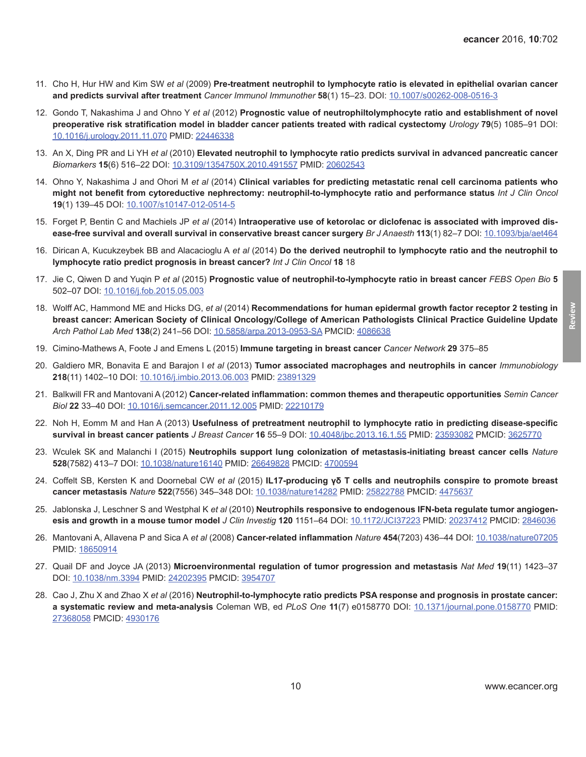- <span id="page-9-0"></span>11. Cho H, Hur HW and Kim SW *et al* (2009) **Pre-treatment neutrophil to lymphocyte ratio is elevated in epithelial ovarian cancer and predicts survival after treatment** *Cancer Immunol Immunother* **58**(1) 15–23. DOI: [10.1007/s00262-008-0516-3](http://dx.doi.org/10.1007/s00262-008-0516-3)
- 12. Gondo T, Nakashima J and Ohno Y *et al* (2012) **Prognostic value of neutrophiltolymphocyte ratio and establishment of novel preoperative risk stratification model in bladder cancer patients treated with radical cystectomy** *Urology* **79**(5) 1085–91 DOI: [10.1016/j.urology.2011.11.070](http://dx.doi.org/10.1016/j.urology.2011.11.070) PMID: [22446338](http://www.ncbi.nlm.nih.gov/pubmed/22446338)
- 13. An X, Ding PR and Li YH *et al* (2010) **Elevated neutrophil to lymphocyte ratio predicts survival in advanced pancreatic cancer** *Biomarkers* **15**(6) 516–22 DOI: [10.3109/1354750X.2010.491557](http://dx.doi.org/10.3109/1354750X.2010.491557) PMID: [20602543](http://www.ncbi.nlm.nih.gov/pubmed/20602543)
- 14. Ohno Y, Nakashima J and Ohori M *et al* (2014) **Clinical variables for predicting metastatic renal cell carcinoma patients who might not benefit from cytoreductive nephrectomy: neutrophil-to-lymphocyte ratio and performance status** *Int J Clin Oncol* **19**(1) 139–45 DOI: [10.1007/s10147-012-0514-5](http://dx.doi.org/10.1007/s10147-012-0514-5)
- 15. Forget P, Bentin C and Machiels JP *et al* (2014) **Intraoperative use of ketorolac or diclofenac is associated with improved disease-free survival and overall survival in conservative breast cancer surgery** *Br J Anaesth* **113**(1) 82–7 DOI: [10.1093/bja/aet464](http://dx.doi.org/10.1093/bja/aet464)
- 16. Dirican A, Kucukzeybek BB and Alacacioglu A *et al* (2014) **Do the derived neutrophil to lymphocyte ratio and the neutrophil to lymphocyte ratio predict prognosis in breast cancer?** *Int J Clin Oncol* **18** 18
- 17. Jie C, Qiwen D and Yuqin P *et al* (2015) **Prognostic value of neutrophil-to-lymphocyte ratio in breast cancer** *FEBS Open Bio* **5** 502–07 DOI: [10.1016/j.fob.2015.05.003](http://dx.doi.org/10.1016/j.fob.2015.05.003)
- 18. Wolff AC, Hammond ME and Hicks DG, *et al* (2014) **Recommendations for human epidermal growth factor receptor 2 testing in breast cancer: American Society of Clinical Oncology/College of American Pathologists Clinical Practice Guideline Update** *Arch Pathol Lab Med* **138**(2) 241–56 DOI: [10.5858/arpa.2013-0953-SA](http://dx.doi.org/10.5858/arpa.2013-0953-SA) PMCID: [4086638](http://www.ncbi.nlm.nih.gov/pmc/articles/PMC4086638)
- 19. Cimino-Mathews A, Foote J and Emens L (2015) **Immune targeting in breast cancer** *Cancer Network* **29** 375–85
- 20. Galdiero MR, Bonavita E and Barajon I *et al* (2013) **Tumor associated macrophages and neutrophils in cancer** *Immunobiology* **218**(11) 1402–10 DOI: [10.1016/j.imbio.2013.06.003](http://dx.doi.org/10.1016/j.imbio.2013.06.003) PMID: [23891329](http://www.ncbi.nlm.nih.gov/pubmed/23891329)
- 21. Balkwill FR and Mantovani A (2012) **Cancer-related inflammation: common themes and therapeutic opportunities** *Semin Cancer Biol* **22** 33–40 DOI: [10.1016/j.semcancer.2011.12.005](http://dx.doi.org/10.1016/j.semcancer.2011.12.005) PMID: [22210179](http://www.ncbi.nlm.nih.gov/pubmed/22210179)
- 22. Noh H, Eomm M and Han A (2013) **Usefulness of pretreatment neutrophil to lymphocyte ratio in predicting disease-specific survival in breast cancer patients** *J Breast Cancer* **16** 55–9 DOI: [10.4048/jbc.2013.16.1.55](http://dx.doi.org/10.4048/jbc.2013.16.1.55) PMID: [23593082](http://www.ncbi.nlm.nih.gov/pubmed/23593082) PMCID: [3625770](http://www.ncbi.nlm.nih.gov/pmc/articles/PMC3625770)
- 23. Wculek SK and Malanchi I (2015) **Neutrophils support lung colonization of metastasis-initiating breast cancer cells** *Nature* **528**(7582) 413–7 DOI: [10.1038/nature16140](http://dx.doi.org/10.1038/nature16140) PMID: 26649828 PMCID: [4700594](http://www.ncbi.nlm.nih.gov/pmc/articles/PMC4700594)
- 24. Coffelt SB, Kersten K and Doornebal CW *et al* (2015) **IL17-producing γδ T cells and neutrophils conspire to promote breast cancer metastasis** *Nature* **522**(7556) 345–348 DOI: [10.1038/nature14282](http://dx.doi.org/10.1038/nature14282) PMID: [25822788](http://www.ncbi.nlm.nih.gov/pubmed/25822788) PMCID: [4475637](http://www.ncbi.nlm.nih.gov/pmc/articles/PMC4475637)
- 25. Jablonska J, Leschner S and Westphal K *et al* (2010) **Neutrophils responsive to endogenous IFN-beta regulate tumor angiogenesis and growth in a mouse tumor model** *J Clin Investig* **120** 1151–64 DOI: [10.1172/JCI37223](http://dx.doi.org/10.1172/JCI37223) PMID: [20237412](http://www.ncbi.nlm.nih.gov/pubmed/20237412) PMCID: [2846036](http://www.ncbi.nlm.nih.gov/pmc/articles/PMC2846036)
- 26. Mantovani A, Allavena P and Sica A *et al* (2008) **Cancer-related inflammation** *Nature* **454**(7203) 436–44 DOI: [10.1038/nature07205](http://dx.doi.org/10.1038/nature07205) PMID: [18650914](http://www.ncbi.nlm.nih.gov/pubmed/18650914)
- 27. Quail DF and Joyce JA (2013) **Microenvironmental regulation of tumor progression and metastasis** *Nat Med* **19**(11) 1423–37 DOI: [10.1038/nm.3394](http://dx.doi.org/10.1038/nm.3394) PMID: [24202395](http://www.ncbi.nlm.nih.gov/pubmed/24202395) PMCID: [3954707](http://www.ncbi.nlm.nih.gov/pmc/articles/PMC3954707)
- 28. Cao J, Zhu X and Zhao X *et al* (2016) **Neutrophil-to-lymphocyte ratio predicts PSA response and prognosis in prostate cancer: a systematic review and meta-analysis** Coleman WB, ed *PLoS One* **11**(7) e0158770 DOI: [10.1371/journal.pone.0158770](http://dx.doi.org/10.1371/journal.pone.0158770) PMID: [27368058](http://www.ncbi.nlm.nih.gov/pubmed/27368058) PMCID: [4930176](http://www.ncbi.nlm.nih.gov/pmc/articles/PMC4930176)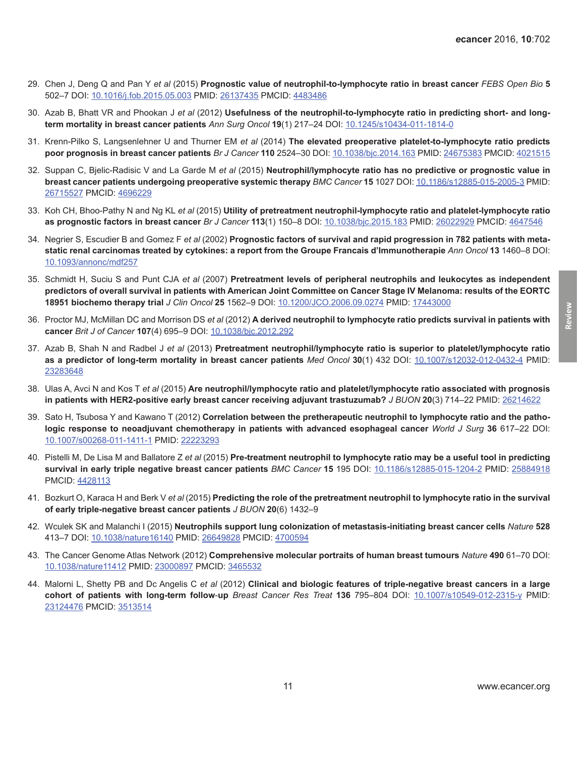- <span id="page-10-0"></span>29. Chen J, Deng Q and Pan Y *et al* (2015) **Prognostic value of neutrophil-to-lymphocyte ratio in breast cancer** *FEBS Open Bio* **5** 502–7 DOI: [10.1016/j.fob.2015.05.003](http://dx.doi.org/10.1016/j.fob.2015.05.003) PMID: [26137435](http://www.ncbi.nlm.nih.gov/pubmed/26137435) PMCID: [4483486](http://www.ncbi.nlm.nih.gov/pmc/articles/PMC4483486)
- 30. Azab B, Bhatt VR and Phookan J *et al* (2012) **Usefulness of the neutrophil-to-lymphocyte ratio in predicting short- and longterm mortality in breast cancer patients** *Ann Surg Oncol* **19**(1) 217–24 DOI: [10.1245/s10434-011-1814-0](http://dx.doi.org/10.1245/s10434-011-1814-0)
- 31. Krenn-Pilko S, Langsenlehner U and Thurner EM *et al* (2014) **The elevated preoperative platelet-to-lymphocyte ratio predicts poor prognosis in breast cancer patients** *Br J Cancer* **110** 2524–30 DOI: [10.1038/bjc.2014.163](http://dx.doi.org/10.1038/bjc.2014.163) PMID: [24675383](http://www.ncbi.nlm.nih.gov/pubmed/24675383) PMCID: [4021515](http://www.ncbi.nlm.nih.gov/pmc/articles/PMC4021515)
- 32. Suppan C, Bjelic-Radisic V and La Garde M *et al* (2015) **Neutrophil/lymphocyte ratio has no predictive or prognostic value in breast cancer patients undergoing preoperative systemic therapy** *BMC Cancer* **15** 1027 DOI: [10.1186/s12885-015-2005-3](http://dx.doi.org/10.1186/s12885-015-2005-3) PMID: [26715527](http://www.ncbi.nlm.nih.gov/pubmed/26715527) PMCID: [4696229](http://www.ncbi.nlm.nih.gov/pmc/articles/PMC4696229)
- 33. Koh CH, Bhoo-Pathy N and Ng KL *et al* (2015) **Utility of pretreatment neutrophil-lymphocyte ratio and platelet-lymphocyte ratio as prognostic factors in breast cancer** *Br J Cancer* **113**(1) 150–8 DOI: [10.1038/bjc.2015.183](http://dx.doi.org/10.1038/bjc.2015.183) PMID: [26022929](http://www.ncbi.nlm.nih.gov/pubmed/26022929) PMCID: [4647546](http://www.ncbi.nlm.nih.gov/pmc/articles/PMC4647546)
- 34. Negrier S, Escudier B and Gomez F *et al* (2002) **Prognostic factors of survival and rapid progression in 782 patients with metastatic renal carcinomas treated by cytokines: a report from the Groupe Francais d'Immunotherapie** *Ann Oncol* **13** 1460–8 DOI: [10.1093/annonc/mdf257](http://dx.doi.org/10.1093/annonc/mdf257)
- 35. Schmidt H, Suciu S and Punt CJA *et al* (2007) **Pretreatment levels of peripheral neutrophils and leukocytes as independent predictors of overall survival in patients with American Joint Committee on Cancer Stage IV Melanoma: results of the EORTC 18951 biochemo therapy trial** *J Clin Oncol* **25** 1562–9 DOI: [10.1200/JCO.2006.09.0274](http://dx.doi.org/10.1200/JCO.2006.09.0274) PMID: [17443000](http://www.ncbi.nlm.nih.gov/pubmed/17443000)
- 36. Proctor MJ, McMillan DC and Morrison DS *et al* (2012) **A derived neutrophil to lymphocyte ratio predicts survival in patients with cancer** *Brit J of Cancer* **107**(4) 695–9 DOI: [10.1038/bjc.2012.292](http://dx.doi.org/10.1038/bjc.2012.292)
- 37. Azab B, Shah N and Radbel J *et al* (2013) **Pretreatment neutrophil/lymphocyte ratio is superior to platelet/lymphocyte ratio as a predictor of long-term mortality in breast cancer patients** *Med Oncol* **30**(1) 432 DOI: [10.1007/s12032-012-0432-4](http://dx.doi.org/10.1007/s12032-012-0432-4) PMID: [23283648](http://www.ncbi.nlm.nih.gov/pubmed/23283648)
- 38. Ulas A, Avci N and Kos T *et al* (2015) **Are neutrophil/lymphocyte ratio and platelet/lymphocyte ratio associated with prognosis in patients with HER2-positive early breast cancer receiving adjuvant trastuzumab?** *J BUON* **20**(3) 714–22 PMID: [26214622](http://www.ncbi.nlm.nih.gov/pubmed/26214622)
- 39. Sato H, Tsubosa Y and Kawano T (2012) **Correlation between the pretherapeutic neutrophil to lymphocyte ratio and the pathologic response to neoadjuvant chemotherapy in patients with advanced esophageal cancer** *World J Surg* **36** 617–22 DOI: [10.1007/s00268-011-1411-1](http://dx.doi.org/10.1007/s00268-011-1411-1) PMID: [22223293](http://www.ncbi.nlm.nih.gov/pubmed/22223293)
- 40. Pistelli M, De Lisa M and Ballatore Z *et al* (2015) **Pre-treatment neutrophil to lymphocyte ratio may be a useful tool in predicting survival in early triple negative breast cancer patients** *BMC Cancer* **15** 195 DOI: [10.1186/s12885-015-1204-2](http://dx.doi.org/10.1186/s12885-015-1204-2) PMID: [25884918](http://www.ncbi.nlm.nih.gov/pubmed/25884918) PMCID: [4428113](http://www.ncbi.nlm.nih.gov/pmc/articles/PMC4428113)
- 41. Bozkurt O, Karaca H and Berk V *et al* (2015) **Predicting the role of the pretreatment neutrophil to lymphocyte ratio in the survival of early triple-negative breast cancer patients** *J BUON* **20**(6) 1432–9
- 42. Wculek SK and Malanchi I (2015) **Neutrophils support lung colonization of metastasis-initiating breast cancer cells** *Nature* **528** 413–7 DOI: [10.1038/nature16140](http://dx.doi.org/10.1038/nature16140) PMID: [26649828](http://www.ncbi.nlm.nih.gov/pubmed/26649828) PMCID: [4700594](http://www.ncbi.nlm.nih.gov/pmc/articles/PMC4700594)
- 43. The Cancer Genome Atlas Network (2012) **Comprehensive molecular portraits of human breast tumours** *Nature* **490** 61–70 DOI: [10.1038/nature11412](http://dx.doi.org/10.1038/nature11412) PMID: [23000897](http://www.ncbi.nlm.nih.gov/pubmed/23000897) PMCID: [3465532](http://www.ncbi.nlm.nih.gov/pmc/articles/PMC3465532)
- 44. Malorni L, Shetty PB and Dc Angelis C *et al* (2012) **Clinical and biologic features of triple-negative breast cancers in a large cohort of patients with long-term follow**-**up** *Breast Cancer Res Treat* **136** 795–804 DOI: [10.1007/s10549-012-2315-y](http://dx.doi.org/10.1007/s10549-012-2315-y) PMID: [23124476](http://www.ncbi.nlm.nih.gov/pubmed/23124476) PMCID: [3513514](http://www.ncbi.nlm.nih.gov/pmc/articles/PMC3513514)

**Review**